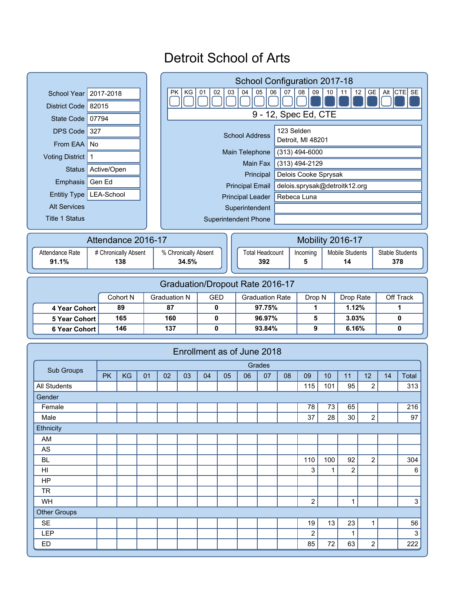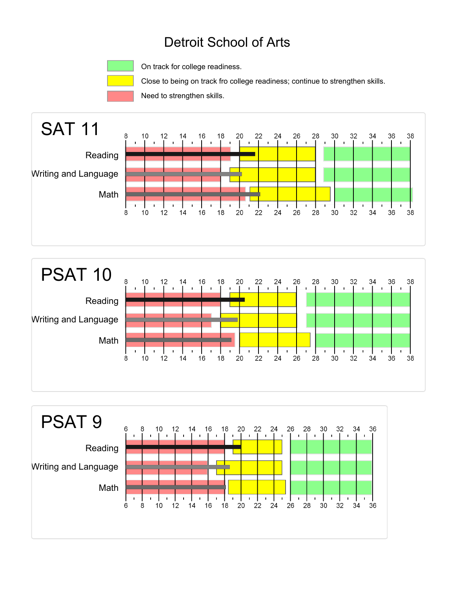

On track for college readiness.

Close to being on track fro college readiness; continue to strengthen skills.

Need to strengthen skills.





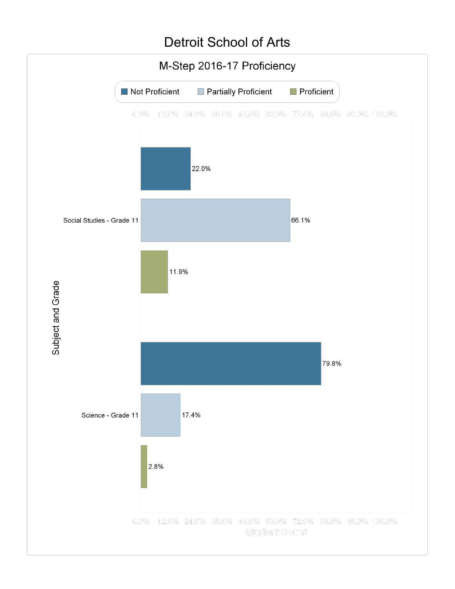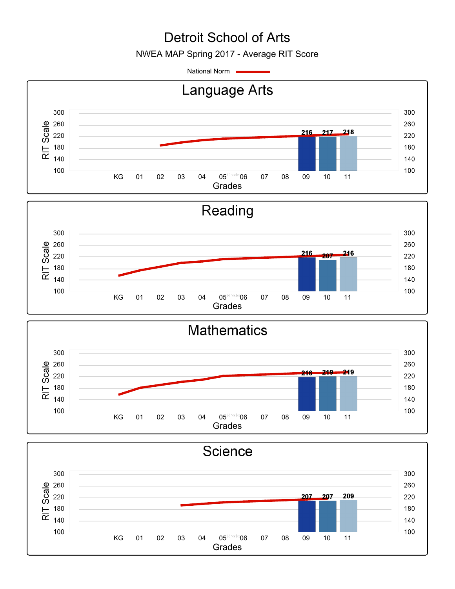NWEA MAP Spring 2017 - Average RIT Score

National Norm